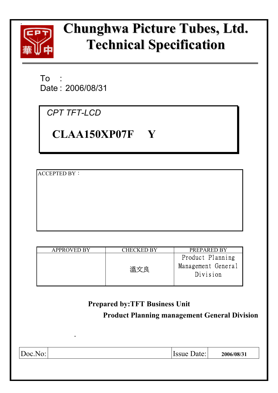

# **Chunghwa Picture Tubes, Ltd. Technical Specification**

T<sub>o</sub> Date : 2006/08/31

*CPT TFT-LCD* 

**CLAA150XP07F Y** 

**ACCEPTED BY:** 

| CHECKED BY                                     | PREPARED BY                                        |
|------------------------------------------------|----------------------------------------------------|
| ガロック うちかん うちかん うちかい うちかい うちかい うちじょう うちじょう うりょう | Product Planning<br>Management General<br>Division |
|                                                |                                                    |

# **Prepared by:TFT Business Unit Product Planning management General Division .**  Doc.No: **Issue Date:** 2006/08/31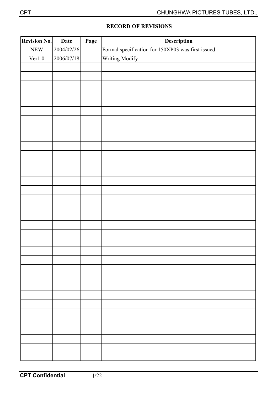|  | <b>RECORD OF REVISIONS</b> |  |
|--|----------------------------|--|
|  |                            |  |

| Revision No. | <b>Date</b> | Page                     | Description                                       |
|--------------|-------------|--------------------------|---------------------------------------------------|
| ${\rm NEW}$  | 2004/02/26  | $\overline{\phantom{m}}$ | Formal specification for 150XP03 was first issued |
| Ver1.0       | 2006/07/18  | $\overline{\phantom{a}}$ | Writing Modify                                    |
|              |             |                          |                                                   |
|              |             |                          |                                                   |
|              |             |                          |                                                   |
|              |             |                          |                                                   |
|              |             |                          |                                                   |
|              |             |                          |                                                   |
|              |             |                          |                                                   |
|              |             |                          |                                                   |
|              |             |                          |                                                   |
|              |             |                          |                                                   |
|              |             |                          |                                                   |
|              |             |                          |                                                   |
|              |             |                          |                                                   |
|              |             |                          |                                                   |
|              |             |                          |                                                   |
|              |             |                          |                                                   |
|              |             |                          |                                                   |
|              |             |                          |                                                   |
|              |             |                          |                                                   |
|              |             |                          |                                                   |
|              |             |                          |                                                   |
|              |             |                          |                                                   |
|              |             |                          |                                                   |
|              |             |                          |                                                   |
|              |             |                          |                                                   |
|              |             |                          |                                                   |
|              |             |                          |                                                   |
|              |             |                          |                                                   |
|              |             |                          |                                                   |
|              |             |                          |                                                   |
|              |             |                          |                                                   |
|              |             |                          |                                                   |
|              |             |                          |                                                   |
|              |             |                          |                                                   |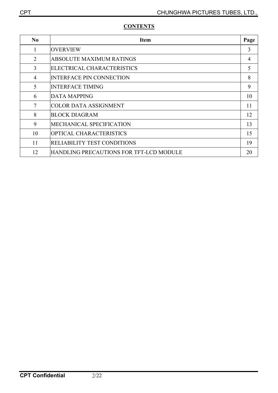| N <sub>0</sub> | <b>Item</b>                             | Page           |
|----------------|-----------------------------------------|----------------|
| 1              | <b>OVERVIEW</b>                         | 3              |
| $\overline{2}$ | <b>ABSOLUTE MAXIMUM RATINGS</b>         | $\overline{4}$ |
| 3              | ELECTRICAL CHARACTERISTICS              | 5              |
| 4              | <b>INTERFACE PIN CONNECTION</b>         | 8              |
| 5              | <b>INTERFACE TIMING</b>                 | 9              |
| 6              | <b>DATA MAPPING</b>                     | 10             |
| 7              | <b>COLOR DATA ASSIGNMENT</b>            | 11             |
| 8              | <b>BLOCK DIAGRAM</b>                    | 12             |
| 9              | MECHANICAL SPECIFICATION                | 13             |
| 10             | <b>OPTICAL CHARACTERISTICS</b>          | 15             |
| 11             | <b>RELIABILITY TEST CONDITIONS</b>      | 19             |
| 12             | HANDLING PRECAUTIONS FOR TFT-LCD MODULE | 20             |

# **CONTENTS**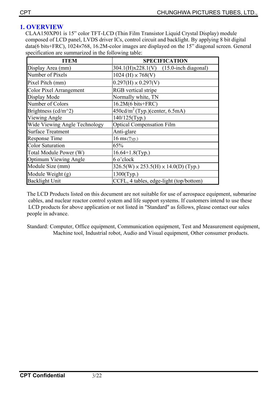# **1. OVERVIEW**

CLAA150XP01 is 15" color TFT-LCD (Thin Film Transistor Liquid Crystal Display) module composed of LCD panel, LVDS driver ICs, control circuit and backlight. By applying 8 bit digital data(6 bits+FRC), 1024×768, 16.2M-color images are displayed on the 15" diagonal screen. General specification are summarized in the following table:

| ITEM                                            | <b>SPECIFICATION</b>                             |
|-------------------------------------------------|--------------------------------------------------|
| Display Area (mm)                               | $[304.1(H)x228.1(V)$ (15.0-inch diagonal)        |
| Number of Pixels                                | $1024$ (H) $\times 768$ (V)                      |
| Pixel Pitch (mm)                                | $0.297(H) \times 0.297(V)$                       |
| <b>Color Pixel Arrangement</b>                  | <b>RGB</b> vertical stripe                       |
| Display Mode                                    | Normally white, TN                               |
| Number of Colors                                | $16.2M(6 \text{ bits+FRC})$                      |
| Brightness (cd/m <sup><math>\sim</math>2)</sup> | $450 \text{cd/m}^2$ (Typ.)(center, 6.5mA)        |
| Viewing Angle                                   | 140/125(Typ.)                                    |
| Wide Viewing Angle Technology                   | <b>Optical Compensation Film</b>                 |
| <b>Surface Treatment</b>                        | Anti-glare                                       |
| <b>Response Time</b>                            | $16$ ms (Typ.)                                   |
| <b>Color Saturation</b>                         | 65%                                              |
| Total Module Power (W)                          | $16.64+1.8$ (Typ.)                               |
| <b>Optimum Viewing Angle</b>                    | 6 o'clock                                        |
| Module Size (mm)                                | $326.5(W) \times 253.5(H) \times 14.0(D)$ (Typ.) |
| Module Weight (g)                               | $1300$ (Typ.)                                    |
| <b>Backlight Unit</b>                           | CCFL, 4 tables, edge-light (top/bottom)          |

The LCD Products listed on this document are not suitable for use of aerospace equipment, submarine cables, and nuclear reactor control system and life support systems. If customers intend to use these LCD products for above application or not listed in "Standard" as follows, please contact our sales people in advance.

Standard: Computer, Office equipment, Communication equipment, Test and Measurement equipment, Machine tool, Industrial robot, Audio and Visual equipment, Other consumer products.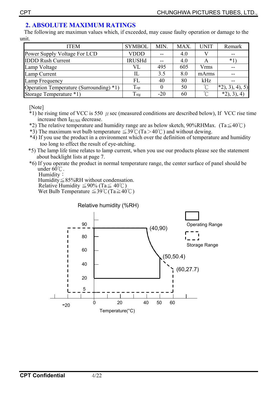## **2. ABSOLUTE MAXIMUM RATINGS**

 The following are maximun values which, if exceeded, may cause faulty operation or damage to the unit.

| <b>ITEM</b>                             | <b>SYMBOL</b>  | MIN.  | MAX. | <b>UNIT</b>              | Remark        |
|-----------------------------------------|----------------|-------|------|--------------------------|---------------|
| Power Supply Voltage For LCD            | <b>VDDD</b>    |       | 4.0  |                          | --            |
| <b>IDDD Rush Current</b>                | <b>IRUSHd</b>  |       | 4.0  | A                        | $*1$          |
| Lamp Voltage                            | VL             | 495   | 605  | Vrms                     |               |
| Lamp Current                            | IL             | 3.5   | 8.0  | mArms                    |               |
| Lamp Frequency                          | FL             | 40    | 80   | kHz                      |               |
| Operation Temperature (Surrounding) *1) | Top            |       | 50   | $\gamma$                 | $*2, 3, 4, 5$ |
| Storage Temperature *1)                 | $T_{\rm{stg}}$ | $-20$ | 60   | $\int_{\alpha}^{\infty}$ | $*2, 3, 3$    |

[Note]

- $*1$ ) he rising time of VCC is 550  $\mu$  sec (measured conditions are described below), If VCC rise time increase then IRUSH decrease.
- \*2) The relative temperature and humidity range are as below sketch, 90%RHMax. (Ta $\leq 40^{\circ}$ C)
- \*3) The maximum wet bulb temperature  $\leq 39^{\circ}$ C(Ta $> 40^{\circ}$ C) and without dewing.
- \*4) If you use the product in a environment which over the definition of temperature and humidity too long to effect the result of eye-atching.
- \*5) The lamp life time relates to lamp current, when you use our products please see the statement about backlight lists at page 7.
- \*6) If you operate the product in normal temperature range, the center surface of panel should be under  $60^{\circ}$ C.

Humidity:

Humidity $\leq$ 85%RH without condensation. Relative Humidity  $\leq 90\%$  (Ta $\leq 40^{\circ}$ C) Wet Bulb Temperature  $\leq 39^{\circ}$ C (Ta $\geq 40^{\circ}$ C)

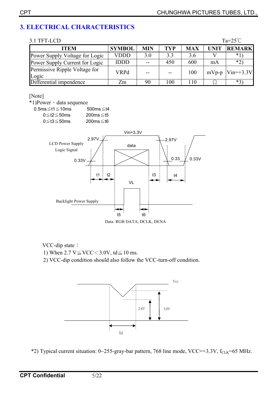# **3. ELECTRICAL CHARACTERISTICS**

| $Ta=25^{\circ}C$<br>3.1 TFT-LCD        |               |            |            |            |             |               |
|----------------------------------------|---------------|------------|------------|------------|-------------|---------------|
| <b>ITEM</b>                            | <b>SYMBOL</b> | <b>MIN</b> | <b>TYP</b> | <b>MAX</b> | <b>UNIT</b> | <b>REMARK</b> |
| Power Supply Voltage for Logic         | <b>VDDD</b>   | 3.0        | 3.3        | 3.6        |             | $*1$          |
| Power Supply Current for Logic         | <b>IDDD</b>   | $-$        | 450        | 600        | mA          | $*2)$         |
| Permissive Ripple Voltage for<br>Logic | <b>VRPd</b>   |            | --         | 100        | $mVp-p$     | $Vin=+3.3V$   |
| Differential impendence                | Zm            | 90         | 100        | l 10       |             | $*3)$         |

[Note]

\*1)Power · data sequence

0.5ms $≤t1≤10$ ms 500ms $≤t4$  0≦t2≦50ms 200ms≦t5 0≦t3≦50ms 200ms≦t6



Data: RGB DATA, DCLK, DENA

VCC-dip state:

1) When 2.7 V $\leq$ VCC $<$ 3.0V, td $\leq$ 10 ms.

2) VCC-dip condition should also follow the VCC-turn-off condition.



\*2) Typical current situation:  $0 \sim 255$ -gray-bar pattern, 768 line mode, VCC=+3.3V, f<sub>CLK</sub>=65 MHz.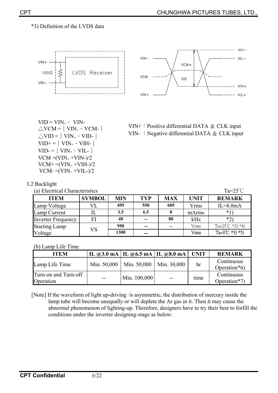#### \*3) Definition of the LVDS data





 $VID = VIN_{+} - VIN_{-}$  $\triangle$ VID =  $|$  VIN<sub>+</sub> – VID- $|$  $VID+=|VIN_{+}-VIH_{-}|$  $VID = |VIN_{+} - VIL_{-}|$  $VCM = (VIN_+ + VIN_-)/2$  $VCM+=(VIN_{+}+VIH_{-})/2$  $VCM = (VIN_{+} + VIL_{-})/2$ 



| 3.2 Backlight |  |
|---------------|--|

(a) Electrical Characteristics  $Ta=25^{\circ}C$ 

| <b>ITEM</b>               | <b>SYMBOL</b> | <b>MIN</b> | <b>TYP</b> | <b>MAX</b> | UNIT        | <b>REMARK</b>              |
|---------------------------|---------------|------------|------------|------------|-------------|----------------------------|
| Lamp Voltage              |               | 495        | 550        | 605        | Vrms        | $IL=8.0mA$                 |
| Lamp Current              |               | 3.5        | 6.5        |            | mArms       | $*1$                       |
| <b>Inverter Frequency</b> | FI            | 40         | $-$        | 80         | kHz         | $*_{2}$                    |
| <b>Starting Lamp</b>      | VS            | 950        | $- -$      | $\sim$     | Vrms        | Ta= $25^{\circ}$ C *3) *4) |
| Voltage                   |               | 1300       | $- -$      |            | <b>Vrms</b> | Ta= $0^{\circ}$ C *3) *5)  |

#### (b) Lamp Life Time

| <b>ITEM</b>                       |             |              | IL @3.0 mA   IL @6.5 mA   IL @8.0 mA | <b>UNIT</b> | <b>REMARK</b>              |
|-----------------------------------|-------------|--------------|--------------------------------------|-------------|----------------------------|
| Lamp Life Time                    | Min. 50,000 | Min. 50,000  | Min. 30,000                          | hr          | Continuous<br>Operation*6) |
| Turn-on and Turn-off<br>Operation | $- -$       | Min. 100,000 | $-$                                  | time        | Continuous<br>Operation*7) |

[Note] If the waveform of light up-driving is asymmetric, the distribution of mercury inside the lamp tube will become unequally or will deplete the Ar gas in it. Then it may cause the abnormal phenomenon of lighting-up. Therefore, designers have to try their best to forfill the conditions under the inverter designing-stage as below: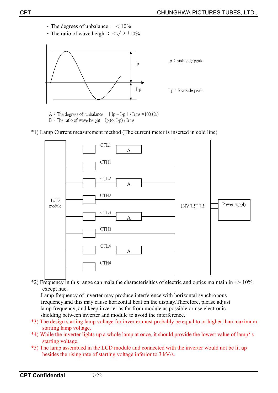- The degrees of unbalance  $\frac{1}{2}$  < 10%
- The ratio of wave height  $\frac{1}{5} < \sqrt{2} \pm 10\%$



A : The degrees of unbalance =  $|$  Ip – I-p  $|$  / Irms  $\times$ 100 (%)  $B$  : The ratio of wave height = Ip (or I-p) / Irms





 $*2$ ) Frequency in this range can mala the characterisitics of electric and optics maintain in  $+/-10\%$ except hue.

Lamp frequency of inverter may produce interference with horizontal synchronous frequency,and this may cause horizontal beat on the display.Therefore, please adjust lamp frequency, and keep inverter as far from module as possible or use electronic shielding between inverter and module to avoid the interference.

- \*3) The design starting lamp voltage for inverter must probably be equal to or higher than maximum starting lamp voltage.
- \*4) While the inverter lights up a whole lamp at once, it should provide the lowest value of lamp's starting voltage.
- \*5) The lamp assembled in the LCD module and connected with the inverter would not be lit up besides the rising rate of starting voltage inferior to 3 kV/s.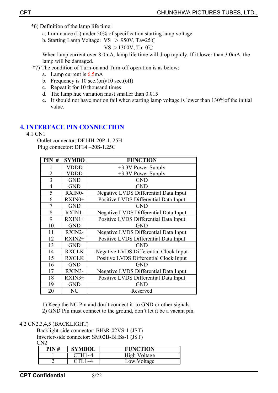- $*6$ ) Definition of the lamp life time :
	- a. Luminance (L) under 50% of specification starting lamp voltage
	- b. Starting Lamp Voltage:  $VS > 950V$ , Ta=25°C

$$
VS > 1300V, Ta=0°C
$$

When lamp current over 8.0mA, lamp life time will drop rapidly. If it lower than 3.0mA, the lamp will be damaged.

- \*7) The condition of Turn-on and Turn-off operation is as below:
	- a. Lamp current is 6.5mA
	- b. Frequency is  $10 \text{ sec.}$ (on)/ $10 \text{ sec.}$ (off)
	- c. Repeat it for 10 thousand times
	- d. The lamp hue variation must smaller than 0.015
	- e. It should not have motion fail when starting lamp voltage is lower than 130%of the initial value.

# **4. INTERFACE PIN CONNECTION**

4.1 CN1

Outlet connector: DF14H-20P-1. 25H Plug connector: DF14 –20S-1.25C

| $PIN$ #        | <b>SYMBO</b> | <b>FUNCTION</b>                              |
|----------------|--------------|----------------------------------------------|
|                | <b>VDDD</b>  | +3.3V Power Supply                           |
| $\overline{2}$ | <b>VDDD</b>  | +3.3V Power Supply                           |
| $\overline{3}$ | <b>GND</b>   | <b>GND</b>                                   |
| $\overline{4}$ | <b>GND</b>   | <b>GND</b>                                   |
| 5              | RXIN0-       | Negative LVDS Differential Data Input        |
| 6              | RXIN0+       | Positive LVDS Differential Data Input        |
| $\overline{7}$ | <b>GND</b>   | <b>GND</b>                                   |
| 8              | RXIN1-       | Negative LVDS Differential Data Input        |
| 9              | $RXIN1+$     | Positive LVDS Differential Data Input        |
| 10             | <b>GND</b>   | <b>GND</b>                                   |
| 11             | RXIN2-       | <b>Negative LVDS Differential Data Input</b> |
| 12             | $RXIN2+$     | Positive LVDS Differential Data Input        |
| 13             | <b>GND</b>   | <b>GND</b>                                   |
| 14             | <b>RXCLK</b> | Negative LVDS Differential Clock Input       |
| 15             | <b>RXCLK</b> | Positive LVDS Differential Clock Input       |
| 16             | <b>GND</b>   | <b>GND</b>                                   |
| 17             | RXIN3-       | Negative LVDS Differential Data Input        |
| 18             | $RXIN3+$     | Positive LVDS Differential Data Input        |
| 19             | <b>GND</b>   | <b>GND</b>                                   |
| 20             | NC           | Reserved                                     |

1) Keep the NC Pin and don't connect it to GND or other signals.

2) GND Pin must connect to the ground, don't let it be a vacant pin.

### 4.2 CN2,3,4,5 (BACKLIGHT)

Backlight-side connector: BHsR-02VS-1 (JST) Inverter-side connector: SM02B-BHSs-1 (JST) CN2

| PIN# | <b>SYMBOL</b> | <b>FUNCTION</b> |
|------|---------------|-----------------|
|      |               | High Voltage    |
|      |               | Voltage<br>1.0W |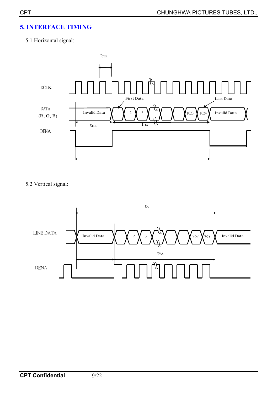# **5. INTERFACE TIMING**

# 5.1 Horizontal signal:



5.2 Vertical signal:

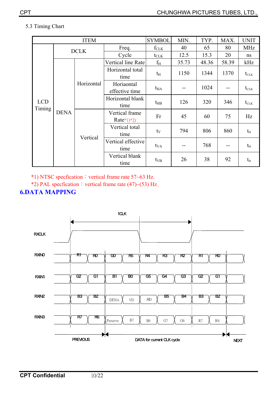#### 5.3 Timing Chart

|                      |             | <b>ITEM</b>            |                                | <b>SYMBOL</b>    | MIN.  | TYP.  | MAX.  | <b>UNIT</b>                          |
|----------------------|-------------|------------------------|--------------------------------|------------------|-------|-------|-------|--------------------------------------|
|                      |             | <b>DCLK</b>            | Freq.                          | $f_{CLK}$        | 40    | 65    | 80    | <b>MHz</b>                           |
| <b>LCD</b><br>Timing |             |                        | Cycle                          | $t_{\text{CLK}}$ | 12.5  | 15.3  | 20    | ns                                   |
|                      |             |                        | Vertical line Rate             | $f_{\rm H}$      | 35.73 | 48.36 | 58.39 | kHz                                  |
|                      | <b>DENA</b> | Horizontal<br>Vertical | Horizontal total<br>time       | $t_{\rm H}$      | 1150  | 1344  | 1370  | $t_{\scriptscriptstyle{\text{CLK}}}$ |
|                      |             |                        | Horiaontal<br>effective time   | $t_{HA}$         |       | 1024  | --    | $t_{\scriptscriptstyle{\text{CLK}}}$ |
|                      |             |                        | Horizontal blank<br>time       | $t_{\rm HB}$     | 126   | 320   | 346   | $t_{\text{CLK}}$                     |
|                      |             |                        | Vertical frame<br>$Rate*1)*2)$ | Fr               | 45    | 60    | 75    | Hz                                   |
|                      |             |                        | Vertical total<br>time         | $t_V$            | 794   | 806   | 860   | $t_H$                                |
|                      |             |                        | Vertical effective<br>time     | $t_{VA}$         |       | 768   | --    | $t_{\rm H}$                          |
|                      |             |                        | Vertical blank<br>time         | $t_{VB}$         | 26    | 38    | 92    | $t_H$                                |

 $*1)$  NTSC specfication: vertical frame rate 57~63 Hz.

\*2) PAL specfication: vertical frame rate (47)~(53) Hz.

## **6.DATA MAPPING**

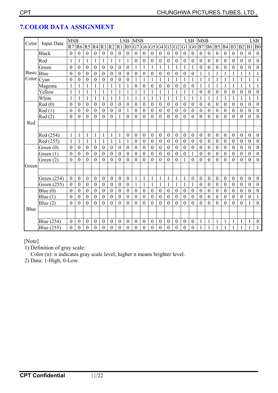| Color<br><b>Input Data</b> |              | <b>MSB</b>       |                  |                  |                  |                  |                  |                  | <b>LSB</b>       | <b>MSB</b><br><b>LSB</b><br><b>MSB</b> |                  |                  |                  |                  |                  |                  |                  |                  |                  | <b>LSB</b>       |                  |                  |                  |                  |                  |
|----------------------------|--------------|------------------|------------------|------------------|------------------|------------------|------------------|------------------|------------------|----------------------------------------|------------------|------------------|------------------|------------------|------------------|------------------|------------------|------------------|------------------|------------------|------------------|------------------|------------------|------------------|------------------|
|                            |              | R7               | R6               | R <sub>5</sub>   | $R4$ $R3$        |                  | R <sub>2</sub>   | R1               | R <sub>0</sub>   | G7                                     | G <sub>6</sub>   |                  | G5 G4            | G <sub>3</sub>   | G2               | G1               | G <sub>0</sub>   | B7               | <b>B6</b>        | B <sub>5</sub>   | B <sub>4</sub>   | B <sub>3</sub>   | B <sub>2</sub>   | B <sub>1</sub>   | B <sub>0</sub>   |
|                            | <b>Black</b> | $\mathbf{0}$     | $\boldsymbol{0}$ | $\overline{0}$   | $\mathbf{0}$     | $\mathbf{0}$     | $\boldsymbol{0}$ | $\boldsymbol{0}$ | $\boldsymbol{0}$ | $\overline{0}$                         | $\boldsymbol{0}$ | $\boldsymbol{0}$ | $\boldsymbol{0}$ | $\mathbf{0}$     | $\mathbf{0}$     | $\overline{0}$   | $\mathbf{0}$     | $\boldsymbol{0}$ | $\boldsymbol{0}$ | $\boldsymbol{0}$ | $\mathbf{0}$     | $\boldsymbol{0}$ | $\boldsymbol{0}$ | $\boldsymbol{0}$ | $\boldsymbol{0}$ |
|                            | Red          | 1                | $\mathbf{1}$     | 1                | 1                | $\mathbf{1}$     |                  | $\mathbf{1}$     |                  | $\mathbf{0}$                           | 0                | $\boldsymbol{0}$ | $\boldsymbol{0}$ | $\boldsymbol{0}$ | $\boldsymbol{0}$ | $\boldsymbol{0}$ | $\boldsymbol{0}$ | $\boldsymbol{0}$ | $\boldsymbol{0}$ | $\boldsymbol{0}$ | $\boldsymbol{0}$ | $\boldsymbol{0}$ | $\boldsymbol{0}$ | 0                | $\boldsymbol{0}$ |
|                            | Green        | $\overline{0}$   | $\overline{0}$   | $\overline{0}$   | $\overline{0}$   | $\mathbf{0}$     | $\theta$         | $\boldsymbol{0}$ | $\mathbf{0}$     | $\mathbf{1}$                           | 1                | $\mathbf{1}$     |                  | $\mathbf{1}$     |                  | $\mathbf{1}$     | $\mathbf{1}$     | $\overline{0}$   | $\mathbf{0}$     | $\mathbf{0}$     | $\theta$         | $\mathbf{0}$     | $\theta$         | $\mathbf{0}$     | $\boldsymbol{0}$ |
| <b>Basic</b>               | Blue         | $\boldsymbol{0}$ | $\overline{0}$   | $\boldsymbol{0}$ | $\boldsymbol{0}$ | $\boldsymbol{0}$ | $\boldsymbol{0}$ | $\boldsymbol{0}$ | $\boldsymbol{0}$ | $\theta$                               | 0                | $\theta$         | $\mathbf{0}$     | $\overline{0}$   | $\boldsymbol{0}$ | $\boldsymbol{0}$ | $\boldsymbol{0}$ | 1                | 1                | 1                | 1                | 1                | 1                | 1                | 1                |
| Color                      | Cyan         | $\overline{0}$   | $\overline{0}$   | $\overline{0}$   | $\overline{0}$   | $\overline{0}$   | $\overline{0}$   | $\overline{0}$   | $\mathbf{0}$     | $\mathbf{1}$                           | 1                | $\mathbf{1}$     | $\mathbf{1}$     | $\mathbf{1}$     | $\mathbf{1}$     | $\mathbf{1}$     | $\mathbf{1}$     | $\mathbf{1}$     | $\mathbf{1}$     | $\mathbf{1}$     | $\mathbf{1}$     | 1                | $\mathbf{1}$     | $\mathbf{1}$     | $\mathbf{1}$     |
|                            | Magenta      |                  |                  | 1                | $\mathbf{1}$     | 1                |                  | 1                |                  | $\theta$                               | 0                | $\boldsymbol{0}$ | $\mathbf{0}$     | $\overline{0}$   | $\boldsymbol{0}$ | $\theta$         | $\boldsymbol{0}$ | 1                | $\mathbf{1}$     |                  | 1                |                  | 1                |                  | 1                |
|                            | Yellow       | $\mathbf{1}$     | $\mathbf{1}$     | 1                | 1                | 1                |                  | 1                |                  | 1                                      |                  | 1                | 1                | $\mathbf{1}$     | 1                | $\mathbf{1}$     | 1                | $\overline{0}$   | $\boldsymbol{0}$ | $\mathbf{0}$     | $\theta$         | $\mathbf{0}$     | $\mathbf{0}$     | $\mathbf{0}$     | $\boldsymbol{0}$ |
|                            | White        | $\mathbf{1}$     | $\mathbf{1}$     | $\mathbf{1}$     | 1                | $\mathbf{1}$     | 1                | $\mathbf{1}$     | 1                | $\mathbf{1}$                           | $\mathbf{1}$     | $\mathbf{1}$     | $\mathbf{1}$     | $\mathbf{1}$     | $\mathbf{1}$     | $\mathbf{1}$     | $\mathbf{1}$     | $\mathbf{1}$     | $\mathbf{1}$     | 1                | $\mathbf{1}$     | 1                | $\mathbf{1}$     | $\mathbf{1}$     | $\mathbf{1}$     |
|                            | Red(0)       | $\boldsymbol{0}$ | $\boldsymbol{0}$ | $\boldsymbol{0}$ | $\mathbf{0}$     | $\boldsymbol{0}$ | $\boldsymbol{0}$ | $\boldsymbol{0}$ | $\boldsymbol{0}$ | $\boldsymbol{0}$                       | $\boldsymbol{0}$ | $\boldsymbol{0}$ | $\boldsymbol{0}$ | $\boldsymbol{0}$ | $\boldsymbol{0}$ | $\mathbf{0}$     | $\boldsymbol{0}$ | $\overline{0}$   | $\boldsymbol{0}$ | $\boldsymbol{0}$ | $\boldsymbol{0}$ | $\mathbf{0}$     | $\boldsymbol{0}$ | $\boldsymbol{0}$ | $\boldsymbol{0}$ |
|                            | Red(1)       | $\boldsymbol{0}$ | $\boldsymbol{0}$ | $\boldsymbol{0}$ | $\boldsymbol{0}$ | $\mathbf{0}$     | $\boldsymbol{0}$ | $\boldsymbol{0}$ | 1                | $\mathbf{0}$                           | $\boldsymbol{0}$ | $\boldsymbol{0}$ | $\boldsymbol{0}$ | $\boldsymbol{0}$ | $\boldsymbol{0}$ | $\boldsymbol{0}$ | $\boldsymbol{0}$ | $\boldsymbol{0}$ | $\boldsymbol{0}$ | $\boldsymbol{0}$ | $\boldsymbol{0}$ | $\boldsymbol{0}$ | $\boldsymbol{0}$ | $\boldsymbol{0}$ | $\boldsymbol{0}$ |
|                            | Red(2)       | $\boldsymbol{0}$ | $\overline{0}$   | $\overline{0}$   | $\mathbf{0}$     | $\mathbf{0}$     | $\boldsymbol{0}$ | $\mathbf{1}$     | $\overline{0}$   | $\overline{0}$                         | $\boldsymbol{0}$ | $\mathbf{0}$     | $\boldsymbol{0}$ | $\overline{0}$   | $\boldsymbol{0}$ | $\overline{0}$   | $\overline{0}$   | $\theta$         | $\boldsymbol{0}$ | $\boldsymbol{0}$ | $\mathbf{0}$     | $\overline{0}$   | $\overline{0}$   | $\boldsymbol{0}$ | $\mathbf{0}$     |
| Red                        |              |                  |                  |                  |                  |                  |                  |                  |                  |                                        |                  |                  |                  |                  |                  |                  |                  |                  |                  |                  |                  |                  |                  |                  |                  |
|                            |              |                  |                  |                  |                  |                  |                  |                  |                  |                                        |                  |                  |                  |                  |                  |                  |                  |                  |                  |                  |                  |                  |                  |                  |                  |
|                            | Red (254)    | $\mathbf{1}$     | $\mathbf{1}$     | 1                | $\mathbf{1}$     | $\mathbf{1}$     | $\mathbf{1}$     | $\mathbf{1}$     | $\boldsymbol{0}$ | $\boldsymbol{0}$                       | $\boldsymbol{0}$ | $\mathbf{0}$     | $\boldsymbol{0}$ | $\boldsymbol{0}$ | $\boldsymbol{0}$ | $\boldsymbol{0}$ | $\boldsymbol{0}$ | $\boldsymbol{0}$ | $\boldsymbol{0}$ | $\boldsymbol{0}$ | $\boldsymbol{0}$ | $\boldsymbol{0}$ | $\boldsymbol{0}$ | $\boldsymbol{0}$ | $\boldsymbol{0}$ |
|                            | Red (255)    | $\mathbf{1}$     | $\mathbf{1}$     | 1                | $\mathbf{1}$     | $\mathbf{1}$     |                  | $\mathbf{1}$     |                  | $\boldsymbol{0}$                       | $\boldsymbol{0}$ | $\boldsymbol{0}$ | $\boldsymbol{0}$ | $\boldsymbol{0}$ | $\boldsymbol{0}$ | $\boldsymbol{0}$ | $\boldsymbol{0}$ | $\boldsymbol{0}$ | $\boldsymbol{0}$ | $\boldsymbol{0}$ | $\boldsymbol{0}$ | $\boldsymbol{0}$ | $\boldsymbol{0}$ | $\boldsymbol{0}$ | $\boldsymbol{0}$ |
|                            | Green $(0)$  | $\boldsymbol{0}$ | $\boldsymbol{0}$ | $\boldsymbol{0}$ | $\boldsymbol{0}$ | $\boldsymbol{0}$ | $\boldsymbol{0}$ | $\boldsymbol{0}$ | $\boldsymbol{0}$ | $\theta$                               | $\boldsymbol{0}$ | $\boldsymbol{0}$ | $\mathbf{0}$     | $\boldsymbol{0}$ | $\boldsymbol{0}$ | $\mathbf{0}$     | $\mathbf{0}$     | $\boldsymbol{0}$ | $\boldsymbol{0}$ | $\boldsymbol{0}$ | $\theta$         | $\mathbf{0}$     | $\mathbf{0}$     | $\mathbf{0}$     | $\boldsymbol{0}$ |
|                            | Green $(1)$  | $\boldsymbol{0}$ | $\overline{0}$   | $\overline{0}$   | $\mathbf{0}$     | $\mathbf{0}$     | $\boldsymbol{0}$ | $\boldsymbol{0}$ | $\mathbf{0}$     | $\mathbf{0}$                           | 0                | $\boldsymbol{0}$ | $\boldsymbol{0}$ | $\overline{0}$   | $\boldsymbol{0}$ | $\overline{0}$   | 1                | $\overline{0}$   | $\boldsymbol{0}$ | $\overline{0}$   | $\theta$         | $\mathbf{0}$     | $\mathbf{0}$     | $\theta$         | $\boldsymbol{0}$ |
|                            | Green $(2)$  | $\overline{0}$   | $\overline{0}$   | $\overline{0}$   | $\mathbf{0}$     | $\mathbf{0}$     | $\overline{0}$   | $\mathbf{0}$     | $\mathbf{0}$     | $\overline{0}$                         | $\overline{0}$   | $\mathbf{0}$     | $\overline{0}$   | $\overline{0}$   | $\mathbf{0}$     | $\mathbf{1}$     | $\overline{0}$   | $\theta$         | $\mathbf{0}$     | $\mathbf{0}$     | $\overline{0}$   | $\overline{0}$   | $\mathbf{0}$     | $\mathbf{0}$     | $\boldsymbol{0}$ |
| Green                      |              |                  |                  |                  |                  |                  |                  |                  |                  |                                        |                  |                  |                  |                  |                  |                  |                  |                  |                  |                  |                  |                  |                  |                  |                  |
|                            |              |                  |                  |                  |                  |                  |                  |                  |                  |                                        |                  |                  |                  |                  |                  |                  |                  |                  |                  |                  |                  |                  |                  |                  |                  |
|                            | Green (254)  | $\boldsymbol{0}$ | $\boldsymbol{0}$ | $\boldsymbol{0}$ | $\boldsymbol{0}$ | $\boldsymbol{0}$ | $\boldsymbol{0}$ | $\boldsymbol{0}$ | $\boldsymbol{0}$ | $\mathbf{1}$                           | 1                | $\mathbf{1}$     | $\mathbf{1}$     | $\mathbf{1}$     | 1                | $\mathbf{1}$     | $\boldsymbol{0}$ | $\boldsymbol{0}$ | $\boldsymbol{0}$ | $\boldsymbol{0}$ | $\boldsymbol{0}$ | $\boldsymbol{0}$ | $\boldsymbol{0}$ | $\boldsymbol{0}$ | $\boldsymbol{0}$ |
|                            | Green (255)  | $\boldsymbol{0}$ | $\boldsymbol{0}$ | $\boldsymbol{0}$ | $\overline{0}$   | $\mathbf{0}$     | $\boldsymbol{0}$ | $\boldsymbol{0}$ | $\boldsymbol{0}$ | $\mathbf{1}$                           | 1                | $\mathbf{1}$     | 1                | $\mathbf{1}$     |                  | $\mathbf{1}$     | 1                | $\overline{0}$   | $\boldsymbol{0}$ | $\boldsymbol{0}$ | $\theta$         | $\mathbf{0}$     | $\mathbf{0}$     | $\mathbf{0}$     | $\boldsymbol{0}$ |
|                            | Blue $(0)$   | $\boldsymbol{0}$ | $\overline{0}$   | $\boldsymbol{0}$ | $\theta$         | $\mathbf{0}$     | $\boldsymbol{0}$ | $\boldsymbol{0}$ | $\boldsymbol{0}$ | $\theta$                               | 0                | $\theta$         | $\mathbf{0}$     | $\overline{0}$   | $\boldsymbol{0}$ | $\mathbf{0}$     | $\mathbf{0}$     | $\boldsymbol{0}$ | $\boldsymbol{0}$ | $\boldsymbol{0}$ | $\theta$         | $\boldsymbol{0}$ | $\theta$         | $\boldsymbol{0}$ | $\boldsymbol{0}$ |
|                            | Blue $(1)$   | $\overline{0}$   | $\overline{0}$   | $\boldsymbol{0}$ | $\overline{0}$   | $\overline{0}$   | $\boldsymbol{0}$ | $\mathbf{0}$     | $\boldsymbol{0}$ | $\overline{0}$                         | $\boldsymbol{0}$ | $\boldsymbol{0}$ | $\mathbf{0}$     | $\boldsymbol{0}$ | $\mathbf{0}$     | $\overline{0}$   | $\mathbf{0}$     | $\boldsymbol{0}$ | $\mathbf{0}$     | $\boldsymbol{0}$ | $\mathbf{0}$     | $\boldsymbol{0}$ | $\mathbf{0}$     | $\mathbf{0}$     | $\mathbf{1}$     |
|                            | Blue $(2)$   | $\boldsymbol{0}$ | $\overline{0}$   | $\theta$         | $\Omega$         | $\boldsymbol{0}$ | $\theta$         | $\theta$         | $\boldsymbol{0}$ | $\theta$                               | 0                | $\theta$         | $\boldsymbol{0}$ | $\overline{0}$   | $\theta$         | $\theta$         | $\boldsymbol{0}$ | $\theta$         | $\theta$         | $\overline{0}$   | $\theta$         | $\mathbf{0}$     | $\theta$         |                  | $\mathbf{0}$     |
| Blue                       |              |                  |                  |                  |                  |                  |                  |                  |                  |                                        |                  |                  |                  |                  |                  |                  |                  |                  |                  |                  |                  |                  |                  |                  |                  |
|                            |              |                  |                  |                  |                  |                  |                  |                  |                  |                                        |                  |                  |                  |                  |                  |                  |                  |                  |                  |                  |                  |                  |                  |                  |                  |
|                            | Blue (254)   | $\boldsymbol{0}$ | $\boldsymbol{0}$ | $\boldsymbol{0}$ | $\boldsymbol{0}$ | $\boldsymbol{0}$ | $\boldsymbol{0}$ | $\boldsymbol{0}$ | $\boldsymbol{0}$ | $\boldsymbol{0}$                       | 0                | $\boldsymbol{0}$ | $\boldsymbol{0}$ | $\boldsymbol{0}$ | $\boldsymbol{0}$ | $\boldsymbol{0}$ | $\boldsymbol{0}$ | 1                | $\mathbf{1}$     |                  | 1                |                  | 1                |                  | $\boldsymbol{0}$ |
|                            | Blue (255)   | $\boldsymbol{0}$ | $\boldsymbol{0}$ | $\boldsymbol{0}$ | $\boldsymbol{0}$ | $\boldsymbol{0}$ | $\boldsymbol{0}$ | $\boldsymbol{0}$ | $\boldsymbol{0}$ | $\overline{0}$                         | $\boldsymbol{0}$ | $\boldsymbol{0}$ | $\boldsymbol{0}$ | $\boldsymbol{0}$ | $\boldsymbol{0}$ | $\boldsymbol{0}$ | $\boldsymbol{0}$ | $\mathbf{1}$     | $\mathbf{1}$     |                  | 1                | 1                | 1                |                  | $\mathbf{1}$     |

# **7.COLOR DATA ASSIGNMENT**

[Note]

1) Definition of gray scale:

Color (n): n indicates gray scale level; higher n means brighter level.

2) Data: 1-High, 0-Low.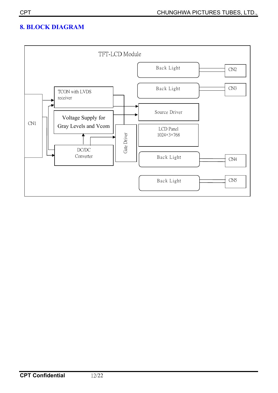# **8. BLOCK DIAGRAM**

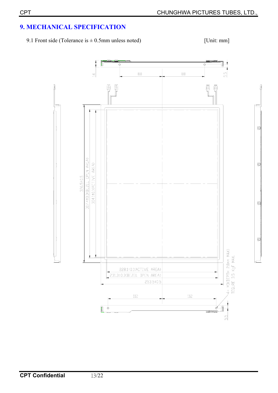# **9. MECHANICAL SPECIFICATION**

9.1 Front side (Tolerance is  $\pm$  0.5mm unless noted) [Unit: mm]

₫

₫

₫

₫

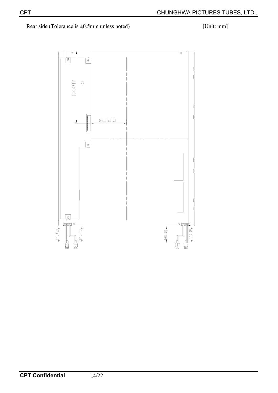Rear side (Tolerance is  $\pm 0.5$ mm unless noted) [Unit: mm]

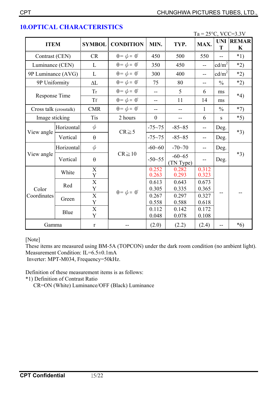|                        |            |                               |                             |                   |                         | $Ta = 25^{\circ}C$ , VCC=3.3V |                   |                       |  |
|------------------------|------------|-------------------------------|-----------------------------|-------------------|-------------------------|-------------------------------|-------------------|-----------------------|--|
| <b>ITEM</b>            |            | <b>SYMBOL</b>                 | <b>CONDITION</b>            | MIN.              | TYP.                    | MAX.                          | T                 | <b>UNI REMAR</b><br>K |  |
| Contrast (CEN)         |            | <b>CR</b>                     | $\theta = \phi = 0^{\circ}$ | 450               | 500                     | 550                           | $-$               | $*1)$                 |  |
| Luminance (CEN)        |            | $\mathbf{L}$                  | $\theta = \phi = 0^{\circ}$ | 350               | 450                     | $\overline{a}$                | cd/m <sup>2</sup> | $*2)$                 |  |
| 9P Luminance (AVG)     |            | $\mathbf{L}$                  | $\theta = \phi = 0^{\circ}$ | 300               | 400                     | $-$                           | cd/m <sup>2</sup> | $*2)$                 |  |
| 9P Uniformity          |            | $\Delta L$                    | $\theta = \phi = 0^{\circ}$ | 75                | 80                      | $-$                           | $\frac{0}{0}$     | $*2)$                 |  |
|                        |            | <b>Tr</b>                     | $\theta = \phi = 0^{\circ}$ | 5<br>$\mathbf{u}$ |                         | 6                             | ms                | $*4)$                 |  |
| Response Time          |            | <b>Tf</b>                     | $\theta = \phi = 0^{\circ}$ | $-$               | 11                      | 14                            | ms                |                       |  |
| Cross talk (crosstalk) |            | <b>CMR</b>                    | $\theta = \phi = 0^{\circ}$ | $-$               | $-$                     | $\mathbf{1}$                  | $\frac{0}{0}$     | $*7)$                 |  |
| Image sticking         |            | <b>Tis</b>                    | 2 hours                     | $\overline{0}$    | $-$                     | 6                             | ${\bf S}$         | $*5)$                 |  |
|                        | Horizontal | $\phi$                        | $CR \ge 5$                  | $-75 - 75$        | $-85 - 85$              | $\overline{\phantom{a}}$      | Deg.              | $*3)$                 |  |
| View angle             | Vertical   | $\theta$                      |                             | $-75 - 75$        | $-85 - 85$              | $-$                           | Deg.              |                       |  |
|                        | Horizontal | $\phi$                        |                             | $-60 - 60$        | $-70 - 70$              | $-$                           | Deg.              |                       |  |
| View angle             | Vertical   | $\theta$                      | $CR \geq 10$                | $-50 - 55$        | $-60 - 65$<br>(TN Type) |                               | Deg.              | $*3)$                 |  |
|                        | White      | $\mathbf X$<br>Y              |                             | 0.252<br>0.263    | 0.282<br>0.293          | 0.312<br>0.323                |                   |                       |  |
| Color<br>Coordinates   | Red        | $\overline{X}$<br>$\mathbf Y$ | $\theta = \phi = 0^{\circ}$ | 0.613<br>0.305    | 0.643<br>0.335          | 0.673<br>0.365                |                   |                       |  |
|                        | Green      | $\overline{X}$<br>Y           |                             | 0.267<br>0.558    | 0.297<br>0.588          | 0.327<br>0.618                |                   |                       |  |
|                        | Blue       | $\overline{X}$<br>Y           |                             | 0.112<br>0.048    | 0.142<br>0.078          | 0.172<br>0.108                |                   |                       |  |
| Gamma                  |            | $\mathbf r$                   |                             | (2.0)             | (2.2)                   | (2.4)                         | --                | $*6)$                 |  |

# **10.OPTICAL CHARACTERISTICS**

[Note]

These items are measured using BM-5A (TOPCON) under the dark room condition (no ambient light). Measurement Condition: IL=6.5±0.1mA

Inverter: MPT-M034, Frequency=50kHz.

Definition of these measurement items is as follows:

\*1) Definition of Contrast Ratio

CR=ON (White) Luminance/OFF (Black) Luminance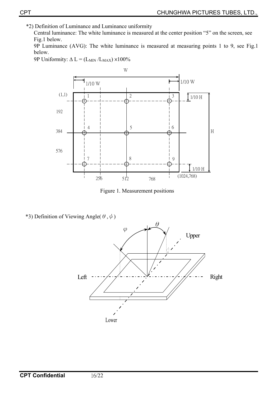\*2) Definition of Luminance and Luminance uniformity

Central luminance: The white luminance is measured at the center position "5" on the screen, see Fig.1 below.

9P Luminance (AVG): The white luminance is measured at measuring points 1 to 9, see Fig.1 below.

9P Uniformity:  $\Delta L = (L_{MIN}/L_{MAX}) \times 100\%$ 



Figure 1. Measurement positions

\*3) Definition of Viewing Angle( $\theta, \phi$ )

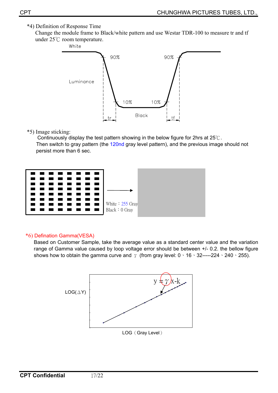#### \*4) Definition of Response Time

 Change the module frame to Black/white pattern and use Westar TDR-100 to measure tr and tf under  $25^{\circ}$ C room temperature.



#### \*5) Image sticking:

Continuously display the test pattern showing in the below figure for 2hrs at  $25^{\circ}$ C. Then switch to gray pattern (the 120nd gray level pattern), and the previous image should not persist more than 6 sec.



#### \*6) Defination Gamma(VESA)

Based on Customer Sample, take the average value as a standard center value and the variation range of Gamma value caused by loop voltage error should be between +/- 0.2. the bellow figure shows how to obtain the gamma curve and  $\gamma$  (from gray level: 0  $\cdot$  16  $\cdot$  32-----224  $\cdot$  240  $\cdot$  255).

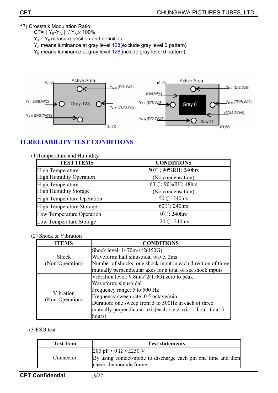\*7) Crosstalk Modulation Ratio:

CT=  $|Y_{B} - Y_{A}| / Y_{A} \times 100\%$  $Y_A \cdot Y_B$  measure position and definition  $Y_A$  means luminance at gray level 128(exclude gray level 0 pattern)

 $Y_B$  means luminance at gray level  $128$ (include gray level 0 pattern)



# **11.RELIABILITY TEST CONDITIONS**

| (1) Temperature and Humidity      |                         |
|-----------------------------------|-------------------------|
| <b>TEST ITEMS</b>                 | <b>CONDITIONS</b>       |
| <b>High Temperature</b>           | 50°C; 90%RH; 240hrs     |
| <b>High Humidity Operation</b>    | (No condensation)       |
| <b>High Temperature</b>           | 60°C; 90%RH; 48hrs      |
| <b>High Humidity Storage</b>      | (No condensation)       |
| <b>High Temperature Operation</b> | 50°C; 240hrs            |
| <b>High Temperature Storage</b>   | $60^{\circ}$ C; 240hrs  |
| Low Temperature Operation         | $0^{\circ}$ C; 240hrs   |
| Low Temperature Storage           | $-20^{\circ}$ C; 240hrs |

#### (2) Shock & Vibration

| <b>ITEMS</b>    | <b>CONDITIONS</b>                                            |
|-----------------|--------------------------------------------------------------|
|                 | Shock level: $1470m/s^2(150G)$                               |
| <b>Shock</b>    | Waveform: half sinusoidal wave, 2ms                          |
| (Non-Operation) | Number of shocks: one shock input in each direction of three |
|                 | mutually perpendicular axes for a total of six shock inputs  |
|                 | Vibration level: $9.8m/s^2(1.0G)$ zero to peak               |
|                 | Waveform: sinusoidal                                         |
| Vibration       | Frequency range: 5 to 500 Hz                                 |
| (Non-Operation) | Frequency sweep rate: 0.5 octave/min                         |
|                 | Duration: one sweep from 5 to 500Hz in each of three         |
|                 | mutually perpendicular axis(each x,y,z axis: 1 hour, total 3 |
|                 | hours)                                                       |

(3)ESD test

| <b>Test Item</b> | <b>Test statements</b>                                                                                                                               |
|------------------|------------------------------------------------------------------------------------------------------------------------------------------------------|
| Connector        | $ 200 \text{ pF} \cdot 0 \Omega \cdot \pm 250 \text{ V}$<br>By using contact-mode to discharge each pin one time and then<br>check the module frame. |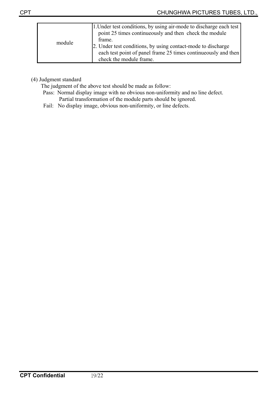| module | 1. Under test conditions, by using air-mode to discharge each test<br>point 25 times continuously and then check the module<br>frame. |
|--------|---------------------------------------------------------------------------------------------------------------------------------------|
|        | 2. Under test conditions, by using contact-mode to discharge<br>each test point of panel frame 25 times continueously and then        |
|        | check the module frame.                                                                                                               |

(4) Judgment standard

The judgment of the above test should be made as follow:

- Pass: Normal display image with no obvious non-uniformity and no line defect. Partial transformation of the module parts should be ignored.
- Fail: No display image, obvious non-uniformity, or line defects.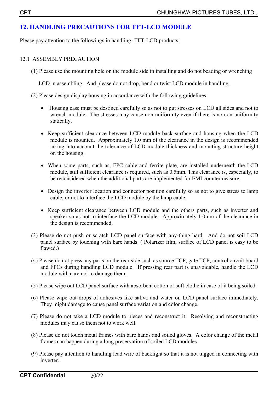# **12. HANDLING PRECAUTIONS FOR TFT-LCD MODULE**

Please pay attention to the followings in handling- TFT-LCD products;

#### 12.1ASSEMBLY PRECAUTION

(1) Please use the mounting hole on the module side in installing and do not beading or wrenching

LCD in assembling. And please do not drop, bend or twist LCD module in handling.

(2) Please design display housing in accordance with the following guidelines.

- Housing case must be destined carefully so as not to put stresses on LCD all sides and not to wrench module. The stresses may cause non-uniformity even if there is no non-uniformity statically.
- Keep sufficient clearance between LCD module back surface and housing when the LCD module is mounted. Approximately 1.0 mm of the clearance in the design is recommended taking into account the tolerance of LCD module thickness and mounting structure height on the housing.
- When some parts, such as, FPC cable and ferrite plate, are installed underneath the LCD module, still sufficient clearance is required, such as 0.5mm. This clearance is, especially, to be reconsidered when the additional parts are implemented for EMI countermeasure.
- Design the inverter location and connector position carefully so as not to give stress to lamp cable, or not to interface the LCD module by the lamp cable.
- Keep sufficient clearance between LCD module and the others parts, such as inverter and speaker so as not to interface the LCD module. Approximately 1.0mm of the clearance in the design is recommended.
- (3) Please do not push or scratch LCD panel surface with any-thing hard. And do not soil LCD panel surface by touching with bare hands. ( Polarizer film, surface of LCD panel is easy to be flawed.)
- (4) Please do not press any parts on the rear side such as source TCP, gate TCP, control circuit board and FPCs during handling LCD module. If pressing rear part is unavoidable, handle the LCD module with care not to damage them.
- (5) Please wipe out LCD panel surface with absorbent cotton or soft clothe in case of it being soiled.
- (6) Please wipe out drops of adhesives like saliva and water on LCD panel surface immediately. They might damage to cause panel surface variation and color change.
- (7) Please do not take a LCD module to pieces and reconstruct it. Resolving and reconstructing modules may cause them not to work well.
- (8) Please do not touch metal frames with bare hands and soiled gloves. A color change of the metal frames can happen during a long preservation of soiled LCD modules.
- (9) Please pay attention to handling lead wire of backlight so that it is not tugged in connecting with inverter.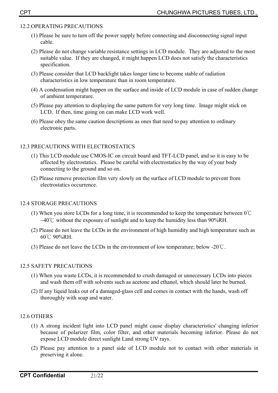#### 12.2 OPERATING PRECAUTIONS

- (1) Please be sure to turn off the power supply before connecting and disconnecting signal input cable.
- (2) Please do not change variable resistance settings in LCD module. They are adjusted to the most suitable value. If they are changed, it might happen LCD does not satisfy the characteristics specification.
- (3) Please consider that LCD backlight takes longer time to become stable of radiation characteristics in low temperature than in room temperature.
- (4) A condensation might happen on the surface and inside of LCD module in case of sudden change of ambient temperature.
- (5) Please pay attention to displaying the same pattern for very long time. Image might stick on LCD. If then, time going on can make LCD work well.
- (6) Please obey the same caution descriptions as ones that need to pay attention to ordinary electronic parts.

#### 12.3 PRECAUTIONS WITH ELECTROSTATICS

- (1) This LCD module use CMOS-IC on circuit board and TFT-LCD panel, and so it is easy to be affected by electrostatics. Please be careful with electrostatics by the way of your body connecting to the ground and so on.
- (2) Please remove protection film very slowly on the surface of LCD module to prevent from electrostatics occurrence.

#### 12.4 STORAGE PRECAUTIONS

- (1) When you store LCDs for a long time, it is recommended to keep the temperature between  $0^{\circ}$ C  $\sim$ 40°C without the exposure of sunlight and to keep the humidity less than 90%RH.
- (2) Please do not leave the LCDs in the environment of high humidity and high temperature such as  $60^{\circ}$ C 90%RH.
- (3) Please do not leave the LCDs in the environment of low temperature; below -20 $\degree$ C.

#### 12.5 SAFETY PRECAUTIONS

- (1) When you waste LCDs, it is recommended to crush damaged or unnecessary LCDs into pieces and wash them off with solvents such as acetone and ethanol, which should later be burned.
- (2) If any liquid leaks out of a damaged-glass cell and comes in contact with the hands, wash off thoroughly with soap and water.

#### 12.6 OTHERS

- (1) A strong incident light into LCD panel might cause display characteristics' changing inferior because of polarizer film, color filter, and other materials becoming inferior. Please do not expose LCD module direct sunlight Land strong UV rays.
- (2) Please pay attention to a panel side of LCD module not to contact with other materials in preserving it alone.